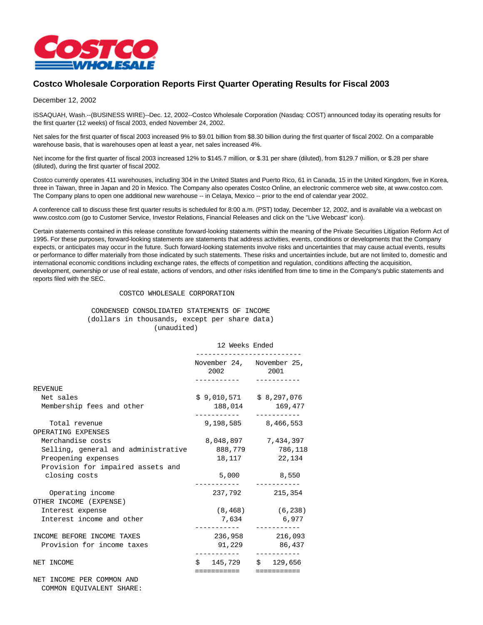

## **Costco Wholesale Corporation Reports First Quarter Operating Results for Fiscal 2003**

## December 12, 2002

ISSAQUAH, Wash.--(BUSINESS WIRE)--Dec. 12, 2002--Costco Wholesale Corporation (Nasdaq: COST) announced today its operating results for the first quarter (12 weeks) of fiscal 2003, ended November 24, 2002.

Net sales for the first quarter of fiscal 2003 increased 9% to \$9.01 billion from \$8.30 billion during the first quarter of fiscal 2002. On a comparable warehouse basis, that is warehouses open at least a year, net sales increased 4%.

Net income for the first quarter of fiscal 2003 increased 12% to \$145.7 million, or \$.31 per share (diluted), from \$129.7 million, or \$.28 per share (diluted), during the first quarter of fiscal 2002.

Costco currently operates 411 warehouses, including 304 in the United States and Puerto Rico, 61 in Canada, 15 in the United Kingdom, five in Korea, three in Taiwan, three in Japan and 20 in Mexico. The Company also operates Costco Online, an electronic commerce web site, at www.costco.com. The Company plans to open one additional new warehouse -- in Celaya, Mexico -- prior to the end of calendar year 2002.

A conference call to discuss these first quarter results is scheduled for 8:00 a.m. (PST) today, December 12, 2002, and is available via a webcast on www.costco.com (go to Customer Service, Investor Relations, Financial Releases and click on the "Live Webcast" icon).

Certain statements contained in this release constitute forward-looking statements within the meaning of the Private Securities Litigation Reform Act of 1995. For these purposes, forward-looking statements are statements that address activities, events, conditions or developments that the Company expects, or anticipates may occur in the future. Such forward-looking statements involve risks and uncertainties that may cause actual events, results or performance to differ materially from those indicated by such statements. These risks and uncertainties include, but are not limited to, domestic and international economic conditions including exchange rates, the effects of competition and regulation, conditions affecting the acquisition, development, ownership or use of real estate, actions of vendors, and other risks identified from time to time in the Company's public statements and reports filed with the SEC.

## COSTCO WHOLESALE CORPORATION

 CONDENSED CONSOLIDATED STATEMENTS OF INCOME (dollars in thousands, except per share data) (unaudited)

|                                            | 12 Weeks Ended                         |                                 |  |
|--------------------------------------------|----------------------------------------|---------------------------------|--|
|                                            | November 24, November 25,<br>2002 2001 |                                 |  |
| <b>REVENUE</b>                             |                                        |                                 |  |
| Net sales                                  | $$9,010,571 \t $8,297,076$             |                                 |  |
| Membership fees and other                  | 188,014<br>169,477                     |                                 |  |
| Total revenue<br>OPERATING EXPENSES        |                                        | 9,198,585 8,466,553             |  |
| Merchandise costs                          |                                        | 8,048,897 7,434,397             |  |
| Selling, general and administrative        | 888,779                                | 786,118                         |  |
| Preopening expenses                        | 18,117                                 | 22,134                          |  |
| Provision for impaired assets and          |                                        |                                 |  |
| closing costs                              | 5,000                                  | 8,550<br>----------             |  |
| Operating income<br>OTHER INCOME (EXPENSE) |                                        | 237,792 215,354                 |  |
| Interest expense                           | $(8, 468)$ (6,238)                     |                                 |  |
| Interest income and other                  | 7,634 6,977                            |                                 |  |
| INCOME BEFORE INCOME TAXES                 |                                        | ------------<br>236,958 216,093 |  |
| Provision for income taxes                 |                                        | 91,229 86,437                   |  |
| NET INCOME                                 |                                        | $$145,729$ $$129,656$           |  |
| NET INCOME PER COMMON AND                  | ===========                            | ===========                     |  |

COMMON EQUIVALENT SHARE: